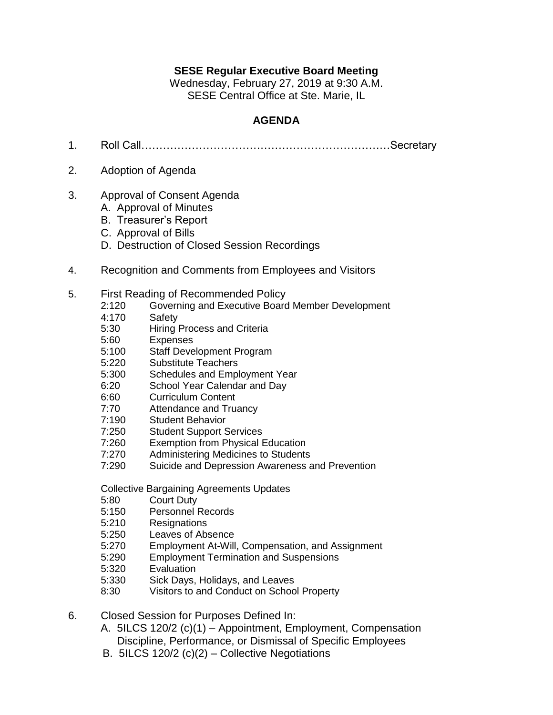## **SESE Regular Executive Board Meeting**

Wednesday, February 27, 2019 at 9:30 A.M. SESE Central Office at Ste. Marie, IL

## **AGENDA**

- 1. Roll Call……………………………………………………………Secretary
- 2. Adoption of Agenda
- 3. Approval of Consent Agenda
	- A. Approval of Minutes
	- B. Treasurer's Report
	- C. Approval of Bills
	- D. Destruction of Closed Session Recordings
- 4. Recognition and Comments from Employees and Visitors
- 5. First Reading of Recommended Policy
	- 2:120 Governing and Executive Board Member Development
	- 4:170 Safety
	- 5:30 Hiring Process and Criteria
	- 5:60 Expenses
	- 5:100 Staff Development Program
	- 5:220 Substitute Teachers
	- 5:300 Schedules and Employment Year
	- 6:20 School Year Calendar and Day
	- 6:60 Curriculum Content
	- 7:70 Attendance and Truancy
	- 7:190 Student Behavior
	- 7:250 Student Support Services
	- 7:260 Exemption from Physical Education
	- 7:270 Administering Medicines to Students
	- 7:290 Suicide and Depression Awareness and Prevention

Collective Bargaining Agreements Updates

- 5:80 Court Duty
- 5:150 Personnel Records
- 5:210 Resignations
- 5:250 Leaves of Absence
- 5:270 Employment At-Will, Compensation, and Assignment
- 5:290 Employment Termination and Suspensions
- 5:320 Evaluation
- 5:330 Sick Days, Holidays, and Leaves
- 8:30 Visitors to and Conduct on School Property
- 6. Closed Session for Purposes Defined In:
	- A. 5ILCS 120/2 (c)(1) Appointment, Employment, Compensation Discipline, Performance, or Dismissal of Specific Employees
	- B. 5ILCS 120/2 (c)(2) Collective Negotiations